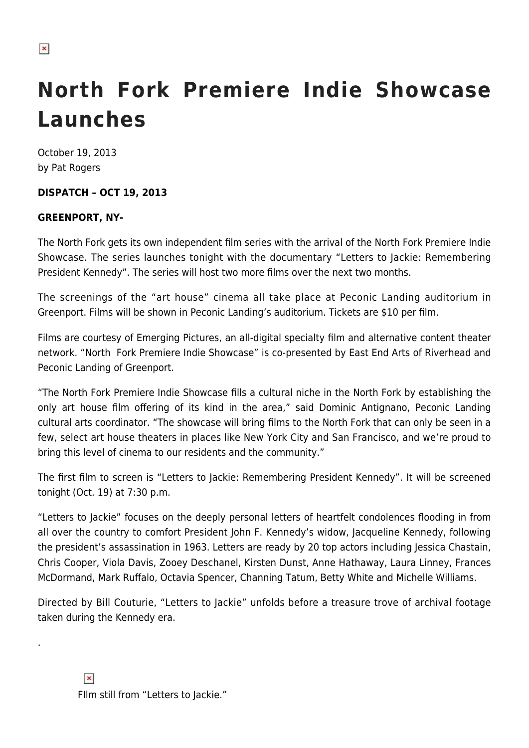## **North Fork Premiere Indie Showcase Launches**

October 19, 2013 by Pat Rogers

## **DISPATCH – OCT 19, 2013**

## **GREENPORT, NY-**

The North Fork gets its own independent film series with the arrival of the North Fork Premiere Indie Showcase. The series launches tonight with the documentary "Letters to Jackie: Remembering President Kennedy". The series will host two more films over the next two months.

The screenings of the "art house" cinema all take place at Peconic Landing auditorium in Greenport. Films will be shown in Peconic Landing's auditorium. Tickets are \$10 per film.

Films are courtesy of Emerging Pictures, an all-digital specialty film and alternative content theater network. "North Fork Premiere Indie Showcase" is co-presented by East End Arts of Riverhead and Peconic Landing of Greenport.

"The North Fork Premiere Indie Showcase fills a cultural niche in the North Fork by establishing the only art house film offering of its kind in the area," said Dominic Antignano, Peconic Landing cultural arts coordinator. "The showcase will bring films to the North Fork that can only be seen in a few, select art house theaters in places like New York City and San Francisco, and we're proud to bring this level of cinema to our residents and the community."

The first film to screen is "Letters to Jackie: Remembering President Kennedy". It will be screened tonight (Oct. 19) at 7:30 p.m.

"Letters to Jackie" focuses on the deeply personal letters of heartfelt condolences flooding in from all over the country to comfort President John F. Kennedy's widow, Jacqueline Kennedy, following the president's assassination in 1963. Letters are ready by 20 top actors including Jessica Chastain, Chris Cooper, Viola Davis, Zooey Deschanel, Kirsten Dunst, Anne Hathaway, Laura Linney, Frances McDormand, Mark Ruffalo, Octavia Spencer, Channing Tatum, Betty White and Michelle Williams.

Directed by Bill Couturie, "Letters to Jackie" unfolds before a treasure trove of archival footage taken during the Kennedy era.

.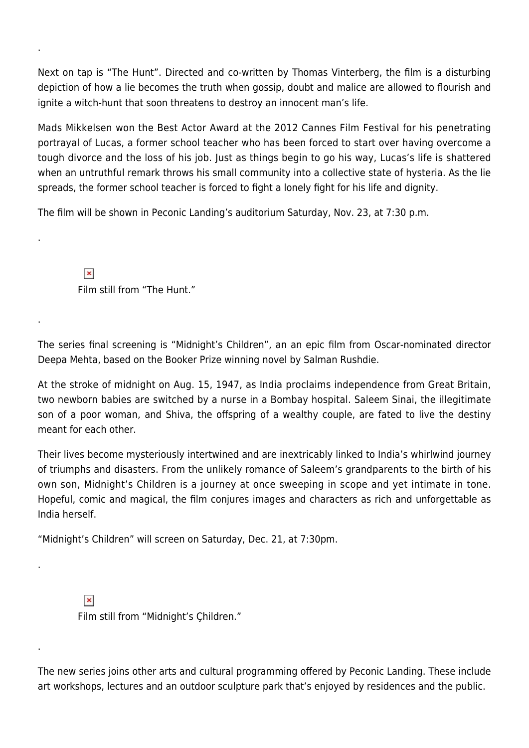Next on tap is "The Hunt". Directed and co-written by Thomas Vinterberg, the film is a disturbing depiction of how a lie becomes the truth when gossip, doubt and malice are allowed to flourish and ignite a witch-hunt that soon threatens to destroy an innocent man's life.

Mads Mikkelsen won the Best Actor Award at the 2012 Cannes Film Festival for his penetrating portrayal of Lucas, a former school teacher who has been forced to start over having overcome a tough divorce and the loss of his job. Just as things begin to go his way, Lucas's life is shattered when an untruthful remark throws his small community into a collective state of hysteria. As the lie spreads, the former school teacher is forced to fight a lonely fight for his life and dignity.

The film will be shown in Peconic Landing's auditorium Saturday, Nov. 23, at 7:30 p.m.

 $\pmb{\times}$ Film still from "The Hunt."

.

.

.

.

.

The series final screening is "Midnight's Children", an an epic film from Oscar-nominated director Deepa Mehta, based on the Booker Prize winning novel by Salman Rushdie.

At the stroke of midnight on Aug. 15, 1947, as India proclaims independence from Great Britain, two newborn babies are switched by a nurse in a Bombay hospital. Saleem Sinai, the illegitimate son of a poor woman, and Shiva, the offspring of a wealthy couple, are fated to live the destiny meant for each other.

Their lives become mysteriously intertwined and are inextricably linked to India's whirlwind journey of triumphs and disasters. From the unlikely romance of Saleem's grandparents to the birth of his own son, Midnight's Children is a journey at once sweeping in scope and yet intimate in tone. Hopeful, comic and magical, the film conjures images and characters as rich and unforgettable as India herself.

"Midnight's Children" will screen on Saturday, Dec. 21, at 7:30pm.

 $\pmb{\times}$ 

Film still from "Midnight's Çhildren."

The new series joins other arts and cultural programming offered by Peconic Landing. These include art workshops, lectures and an outdoor sculpture park that's enjoyed by residences and the public.